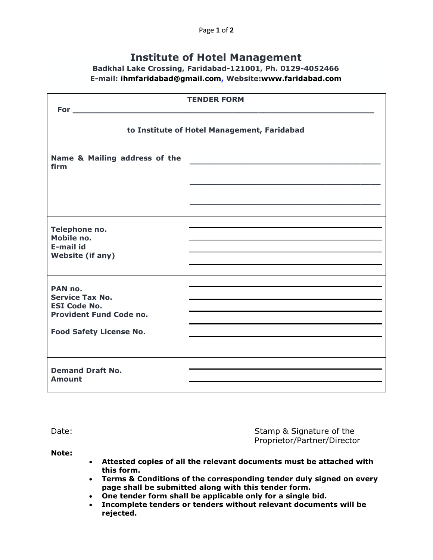## **Institute of Hotel Management**

## **Badkhal Lake Crossing, Faridabad-121001, Ph. 0129-4052466 E-mail: ihmfaridabad@gmail.com, Website:www.faridabad.com**

| <b>TENDER FORM</b><br>For the contract of the state of the state of the state of the state of the state of the state of the state of |  |
|--------------------------------------------------------------------------------------------------------------------------------------|--|
| to Institute of Hotel Management, Faridabad                                                                                          |  |
| Name & Mailing address of the<br>firm                                                                                                |  |
|                                                                                                                                      |  |
| Telephone no.<br>Mobile no.<br>E-mail id<br><b>Website (if any)</b>                                                                  |  |
| PAN no.<br><b>Service Tax No.</b><br><b>ESI Code No.</b><br><b>Provident Fund Code no.</b><br><b>Food Safety License No.</b>         |  |
| <b>Demand Draft No.</b><br><b>Amount</b>                                                                                             |  |

Date: Date: Stamp & Signature of the Stamp & Signature of the Stamp & Signature of the Stamp & Signature of the Proprietor/Partner/Director

**Note:** 

- **Attested copies of all the relevant documents must be attached with this form.**
- **Terms & Conditions of the corresponding tender duly signed on every page shall be submitted along with this tender form.**
- **One tender form shall be applicable only for a single bid.**
- **Incomplete tenders or tenders without relevant documents will be rejected.**